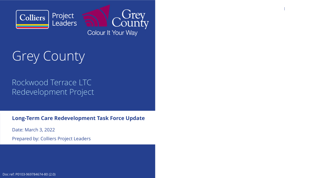

Colour It Your Way

**Long-Term Care Redevelopment Task Force Update**

Date: March 3, 2022

Grey County

## Rockwood Terrace LTC Redevelopment Project

Prepared by: Colliers Project Leaders

Doc ref: P0103-969784674-80 (2.0)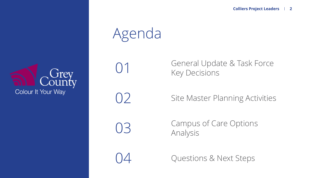

# Agenda

01

 $\bigcup$ 

General Update & Task Force Key Decisions

Site Master Planning Activities

03

Campus of Care Options Analysis

04

Questions & Next Steps

## **Colliers Project Leaders <sup>2</sup>**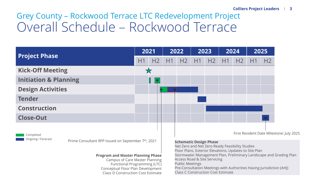Grey County – Rockwood Terrace LTC Redevelopment Project Overall Schedule – Rockwood Terrace

## **Colliers Project Leaders <sup>3</sup>**



| <b>Project Phase</b>                     |                                                                 | 2021 |                | 2022 |                                                                                                                                            | 2023 |    | 2024 |                         | 2025 |                |
|------------------------------------------|-----------------------------------------------------------------|------|----------------|------|--------------------------------------------------------------------------------------------------------------------------------------------|------|----|------|-------------------------|------|----------------|
|                                          |                                                                 | H1   | H2             | H1   | H2                                                                                                                                         | H1   | H2 | H1   | H <sub>2</sub>          | H1   | H <sub>2</sub> |
| <b>Kick-Off Meeting</b>                  |                                                                 |      |                |      |                                                                                                                                            |      |    |      |                         |      |                |
| <b>Initiation &amp; Planning</b>         |                                                                 |      | L<br>$\bullet$ |      |                                                                                                                                            |      |    |      |                         |      |                |
| <b>Design Activities</b>                 |                                                                 |      |                |      |                                                                                                                                            |      |    |      |                         |      |                |
| <b>Tender</b>                            |                                                                 |      |                |      |                                                                                                                                            |      |    |      |                         |      |                |
| <b>Construction</b>                      |                                                                 |      |                |      |                                                                                                                                            |      |    |      |                         |      |                |
| <b>Close-Out</b>                         |                                                                 |      |                |      |                                                                                                                                            |      |    |      |                         |      |                |
| Completed                                | Prime Consultant RFP Issued on September 7 <sup>th</sup> , 2021 |      |                |      |                                                                                                                                            |      |    |      | First Resident Date Mil |      |                |
| Ongoing / Forecast                       |                                                                 |      |                |      | <b>Schematic Design Phase</b><br>Net Zero and Net Zero Ready Feasibility Studies<br>Floor Plans, Exterior Elevations, Updates to Site Plan |      |    |      |                         |      |                |
| <b>Program and Master Planning Phase</b> |                                                                 |      |                |      | Stormwater Management Plan, Preliminary Landscape an                                                                                       |      |    |      |                         |      |                |

 Campus of Care Master Planning Functional Programming (LTC) Conceptual Floor Plan DevelopmentClass D Construction Cost Estimate esident Date Milestone: July 2025

Net Zero and Net Zero Ready Feasibility Studies Floor Plans, Exterior Elevations, Updates to Site Plan Stormwater Management Plan, Preliminary Landscape and Grading PlanAccess Road & Site ServicingPublic Meetings Pre-Consultation Meetings with Authorities Having Jurisdiction (AHJ) Class C Construction Cost Estimate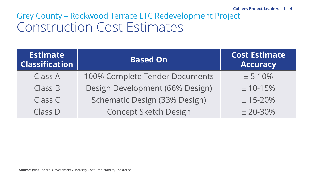# Grey County – Rockwood Terrace LTC Redevelopment Project Construction Cost Estimates

## **Colliers Project Leaders <sup>4</sup>**

# 10-15% 15-20%

| <b>Estimate</b><br><b>Classification</b> | <b>Based On</b>                 | <b>Cost Estimate</b><br><b>Accuracy</b> |  |  |
|------------------------------------------|---------------------------------|-----------------------------------------|--|--|
| <b>Class A</b>                           | 100% Complete Tender Documents  | $± 5-10%$                               |  |  |
| <b>Class B</b>                           | Design Development (66% Design) | $± 10-15%$                              |  |  |
| Class C                                  | Schematic Design (33% Design)   | $± 15 - 20%$                            |  |  |
| Class D                                  | <b>Concept Sketch Design</b>    | $±$ 20-30%                              |  |  |
|                                          |                                 |                                         |  |  |